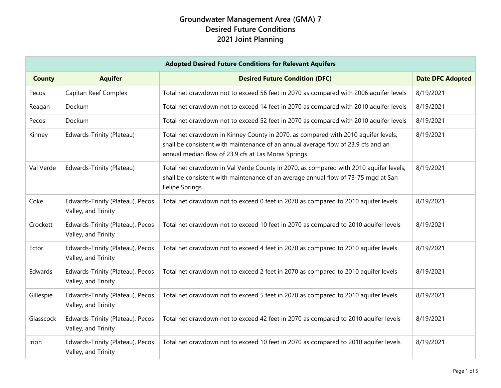| <b>Adopted Desired Future Conditions for Relevant Aquifers</b> |                                                         |                                                                                                                                                                                                                                |                         |
|----------------------------------------------------------------|---------------------------------------------------------|--------------------------------------------------------------------------------------------------------------------------------------------------------------------------------------------------------------------------------|-------------------------|
| <b>County</b>                                                  | <b>Aquifer</b>                                          | <b>Desired Future Condition (DFC)</b>                                                                                                                                                                                          | <b>Date DFC Adopted</b> |
| Pecos                                                          | Capitan Reef Complex                                    | Total net drawdown not to exceed 56 feet in 2070 as compared with 2006 aquifer levels                                                                                                                                          | 8/19/2021               |
| Reagan                                                         | Dockum                                                  | Total net drawdown not to exceed 14 feet in 2070 as compared with 2010 aquifer levels                                                                                                                                          | 8/19/2021               |
| Pecos                                                          | Dockum                                                  | Total net drawdown not to exceed 52 feet in 2070 as compared with 2010 aquifer levels                                                                                                                                          | 8/19/2021               |
| Kinney                                                         | Edwards-Trinity (Plateau)                               | Total net drawdown in Kinney County in 2070, as compared with 2010 aquifer levels,<br>shall be consistent with maintenance of an annual average flow of 23.9 cfs and an<br>annual median flow of 23.9 cfs at Las Moras Springs | 8/19/2021               |
| Val Verde                                                      | Edwards-Trinity (Plateau)                               | Total net drawdown in Val Verde County in 2070, as compared with 2010 aquifer levels,<br>shall be consistent with maintenance of an average annual flow of 73-75 mgd at San<br>Felipe Springs                                  | 8/19/2021               |
| Coke                                                           | Edwards-Trinity (Plateau), Pecos<br>Valley, and Trinity | Total net drawdown not to exceed 0 feet in 2070 as compared to 2010 aquifer levels                                                                                                                                             | 8/19/2021               |
| Crockett                                                       | Edwards-Trinity (Plateau), Pecos<br>Valley, and Trinity | Total net drawdown not to exceed 10 feet in 2070 as compared to 2010 aquifer levels                                                                                                                                            | 8/19/2021               |
| Ector                                                          | Edwards-Trinity (Plateau), Pecos<br>Valley, and Trinity | Total net drawdown not to exceed 4 feet in 2070 as compared to 2010 aquifer levels                                                                                                                                             | 8/19/2021               |
| Edwards                                                        | Edwards-Trinity (Plateau), Pecos<br>Valley, and Trinity | Total net drawdown not to exceed 2 feet in 2070 as compared to 2010 aquifer levels                                                                                                                                             | 8/19/2021               |
| Gillespie                                                      | Edwards-Trinity (Plateau), Pecos<br>Valley, and Trinity | Total net drawdown not to exceed 5 feet in 2070 as compared to 2010 aquifer levels                                                                                                                                             | 8/19/2021               |
| Glasscock                                                      | Edwards-Trinity (Plateau), Pecos<br>Valley, and Trinity | Total net drawdown not to exceed 42 feet in 2070 as compared to 2010 aquifer levels                                                                                                                                            | 8/19/2021               |
| Irion                                                          | Edwards-Trinity (Plateau), Pecos<br>Valley, and Trinity | Total net drawdown not to exceed 10 feet in 2070 as compared to 2010 aquifer levels                                                                                                                                            | 8/19/2021               |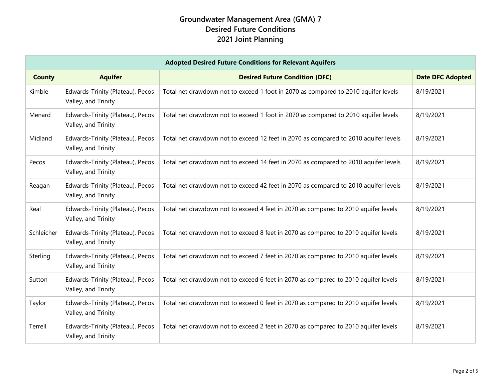| <b>Adopted Desired Future Conditions for Relevant Aquifers</b> |                                                         |                                                                                     |                         |  |
|----------------------------------------------------------------|---------------------------------------------------------|-------------------------------------------------------------------------------------|-------------------------|--|
| <b>County</b>                                                  | <b>Aquifer</b>                                          | <b>Desired Future Condition (DFC)</b>                                               | <b>Date DFC Adopted</b> |  |
| Kimble                                                         | Edwards-Trinity (Plateau), Pecos<br>Valley, and Trinity | Total net drawdown not to exceed 1 foot in 2070 as compared to 2010 aquifer levels  | 8/19/2021               |  |
| Menard                                                         | Edwards-Trinity (Plateau), Pecos<br>Valley, and Trinity | Total net drawdown not to exceed 1 foot in 2070 as compared to 2010 aquifer levels  | 8/19/2021               |  |
| Midland                                                        | Edwards-Trinity (Plateau), Pecos<br>Valley, and Trinity | Total net drawdown not to exceed 12 feet in 2070 as compared to 2010 aquifer levels | 8/19/2021               |  |
| Pecos                                                          | Edwards-Trinity (Plateau), Pecos<br>Valley, and Trinity | Total net drawdown not to exceed 14 feet in 2070 as compared to 2010 aquifer levels | 8/19/2021               |  |
| Reagan                                                         | Edwards-Trinity (Plateau), Pecos<br>Valley, and Trinity | Total net drawdown not to exceed 42 feet in 2070 as compared to 2010 aquifer levels | 8/19/2021               |  |
| Real                                                           | Edwards-Trinity (Plateau), Pecos<br>Valley, and Trinity | Total net drawdown not to exceed 4 feet in 2070 as compared to 2010 aquifer levels  | 8/19/2021               |  |
| Schleicher                                                     | Edwards-Trinity (Plateau), Pecos<br>Valley, and Trinity | Total net drawdown not to exceed 8 feet in 2070 as compared to 2010 aquifer levels  | 8/19/2021               |  |
| Sterling                                                       | Edwards-Trinity (Plateau), Pecos<br>Valley, and Trinity | Total net drawdown not to exceed 7 feet in 2070 as compared to 2010 aquifer levels  | 8/19/2021               |  |
| Sutton                                                         | Edwards-Trinity (Plateau), Pecos<br>Valley, and Trinity | Total net drawdown not to exceed 6 feet in 2070 as compared to 2010 aquifer levels  | 8/19/2021               |  |
| Taylor                                                         | Edwards-Trinity (Plateau), Pecos<br>Valley, and Trinity | Total net drawdown not to exceed 0 feet in 2070 as compared to 2010 aquifer levels  | 8/19/2021               |  |
| Terrell                                                        | Edwards-Trinity (Plateau), Pecos<br>Valley, and Trinity | Total net drawdown not to exceed 2 feet in 2070 as compared to 2010 aquifer levels  | 8/19/2021               |  |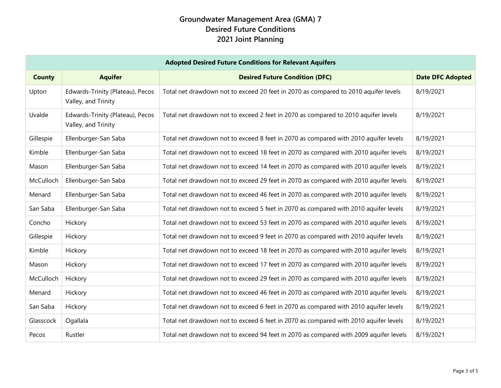| <b>Adopted Desired Future Conditions for Relevant Aquifers</b> |                                                         |                                                                                       |                         |  |
|----------------------------------------------------------------|---------------------------------------------------------|---------------------------------------------------------------------------------------|-------------------------|--|
| <b>County</b>                                                  | <b>Aquifer</b>                                          | <b>Desired Future Condition (DFC)</b>                                                 | <b>Date DFC Adopted</b> |  |
| Upton                                                          | Edwards-Trinity (Plateau), Pecos<br>Valley, and Trinity | Total net drawdown not to exceed 20 feet in 2070 as compared to 2010 aquifer levels   | 8/19/2021               |  |
| Uvalde                                                         | Edwards-Trinity (Plateau), Pecos<br>Valley, and Trinity | Total net drawdown not to exceed 2 feet in 2070 as compared to 2010 aquifer levels    | 8/19/2021               |  |
| Gillespie                                                      | Ellenburger-San Saba                                    | Total net drawdown not to exceed 8 feet in 2070 as compared with 2010 aquifer levels  | 8/19/2021               |  |
| Kimble                                                         | Ellenburger-San Saba                                    | Total net drawdown not to exceed 18 feet in 2070 as compared with 2010 aquifer levels | 8/19/2021               |  |
| Mason                                                          | Ellenburger-San Saba                                    | Total net drawdown not to exceed 14 feet in 2070 as compared with 2010 aquifer levels | 8/19/2021               |  |
| McCulloch                                                      | Ellenburger-San Saba                                    | Total net drawdown not to exceed 29 feet in 2070 as compared with 2010 aquifer levels | 8/19/2021               |  |
| Menard                                                         | Ellenburger-San Saba                                    | Total net drawdown not to exceed 46 feet in 2070 as compared with 2010 aquifer levels | 8/19/2021               |  |
| San Saba                                                       | Ellenburger-San Saba                                    | Total net drawdown not to exceed 5 feet in 2070 as compared with 2010 aquifer levels  | 8/19/2021               |  |
| Concho                                                         | Hickory                                                 | Total net drawdown not to exceed 53 feet in 2070 as compared with 2010 aquifer levels | 8/19/2021               |  |
| Gillespie                                                      | Hickory                                                 | Total net drawdown not to exceed 9 feet in 2070 as compared with 2010 aquifer levels  | 8/19/2021               |  |
| Kimble                                                         | Hickory                                                 | Total net drawdown not to exceed 18 feet in 2070 as compared with 2010 aquifer levels | 8/19/2021               |  |
| Mason                                                          | Hickory                                                 | Total net drawdown not to exceed 17 feet in 2070 as compared with 2010 aquifer levels | 8/19/2021               |  |
| McCulloch                                                      | Hickory                                                 | Total net drawdown not to exceed 29 feet in 2070 as compared with 2010 aquifer levels | 8/19/2021               |  |
| Menard                                                         | Hickory                                                 | Total net drawdown not to exceed 46 feet in 2070 as compared with 2010 aquifer levels | 8/19/2021               |  |
| San Saba                                                       | Hickory                                                 | Total net drawdown not to exceed 6 feet in 2070 as compared with 2010 aquifer levels  | 8/19/2021               |  |
| Glasscock                                                      | Ogallala                                                | Total net drawdown not to exceed 6 feet in 2070 as compared with 2010 aquifer levels  | 8/19/2021               |  |
| Pecos                                                          | Rustler                                                 | Total net drawdown not to exceed 94 feet in 2070 as compared with 2009 aquifer levels | 8/19/2021               |  |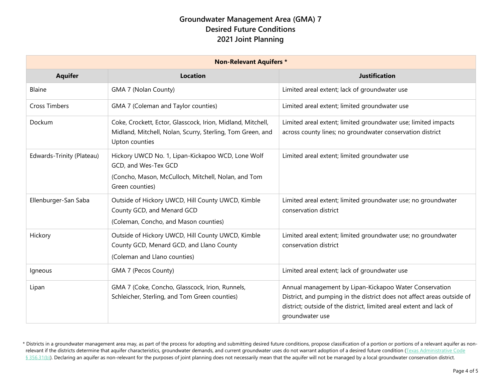| <b>Non-Relevant Aquifers *</b> |                                                                                                                                                     |                                                                                                                                                                                                                            |  |  |
|--------------------------------|-----------------------------------------------------------------------------------------------------------------------------------------------------|----------------------------------------------------------------------------------------------------------------------------------------------------------------------------------------------------------------------------|--|--|
| <b>Aquifer</b>                 | <b>Location</b>                                                                                                                                     | <b>Justification</b>                                                                                                                                                                                                       |  |  |
| Blaine                         | GMA 7 (Nolan County)                                                                                                                                | Limited areal extent; lack of groundwater use                                                                                                                                                                              |  |  |
| <b>Cross Timbers</b>           | GMA 7 (Coleman and Taylor counties)                                                                                                                 | Limited areal extent; limited groundwater use                                                                                                                                                                              |  |  |
| Dockum                         | Coke, Crockett, Ector, Glasscock, Irion, Midland, Mitchell,<br>Midland, Mitchell, Nolan, Scurry, Sterling, Tom Green, and<br>Upton counties         | Limited areal extent; limited groundwater use; limited impacts<br>across county lines; no groundwater conservation district                                                                                                |  |  |
| Edwards-Trinity (Plateau)      | Hickory UWCD No. 1, Lipan-Kickapoo WCD, Lone Wolf<br>GCD, and Wes-Tex GCD<br>(Concho, Mason, McCulloch, Mitchell, Nolan, and Tom<br>Green counties) | Limited areal extent; limited groundwater use                                                                                                                                                                              |  |  |
| Ellenburger-San Saba           | Outside of Hickory UWCD, Hill County UWCD, Kimble<br>County GCD, and Menard GCD<br>(Coleman, Concho, and Mason counties)                            | Limited areal extent; limited groundwater use; no groundwater<br>conservation district                                                                                                                                     |  |  |
| Hickory                        | Outside of Hickory UWCD, Hill County UWCD, Kimble<br>County GCD, Menard GCD, and Llano County<br>(Coleman and Llano counties)                       | Limited areal extent; limited groundwater use; no groundwater<br>conservation district                                                                                                                                     |  |  |
| Igneous                        | GMA 7 (Pecos County)                                                                                                                                | Limited areal extent; lack of groundwater use                                                                                                                                                                              |  |  |
| Lipan                          | GMA 7 (Coke, Concho, Glasscock, Irion, Runnels,<br>Schleicher, Sterling, and Tom Green counties)                                                    | Annual management by Lipan-Kickapoo Water Conservation<br>District, and pumping in the district does not affect areas outside of<br>district; outside of the district, limited areal extent and lack of<br>groundwater use |  |  |

\* Districts in a groundwater management area may, as part of the process for adopting and submitting desired future conditions, propose classification of a portion or portions of a relevant aquifer as nonrelevant if the districts determine that aquifer characteristics, groundwater demands, and current groundwater uses do not warrant adoption of a desired future condition (Texas Administrative Code § [356.31\(b\)\)](https://texreg.sos.state.tx.us/public/readtac$ext.TacPage?sl=R&app=9&p_dir=&p_rloc=&p_tloc=&p_ploc=&pg=1&p_tac=&ti=31&pt=10&ch=356&rl=31). Declaring an aquifer as non-relevant for the purposes of joint planning does not necessarily mean that the aquifer will not be managed by a local groundwater conservation district.